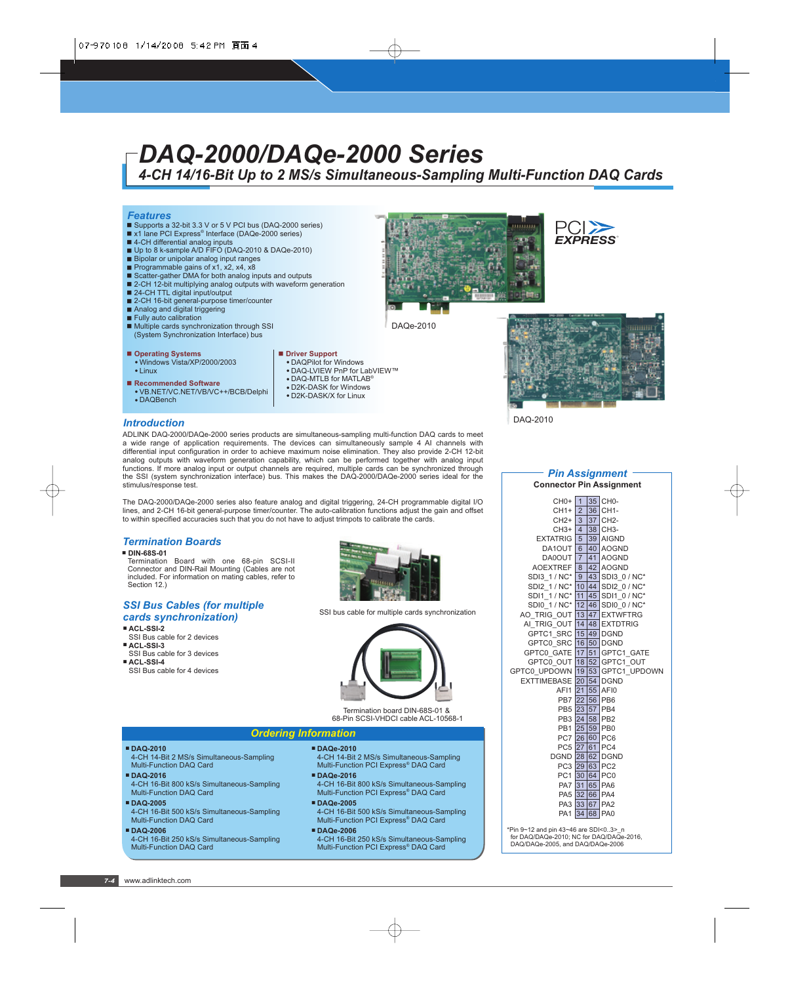# *DAQ-2000/DAQe-2000 Series*

*4-CH 14/16-Bit Up to 2 MS/s Simultaneous-Sampling Multi-Function DAQ Cards*

### *Features*

- Supports a 32-bit 3.3 V or 5 V PCI bus (DAQ-2000 series)
- x1 lane PCI Express® Interface (DAQe-2000 series)
- 4-CH differential analog inputs
- Up to 8 k-sample A/D FIFO (DAQ-2010 & DAQe-2010) Bipolar or unipolar analog input ranges
- 
- Programmable gains of  $x1$ ,  $x2$ ,  $x4$ ,  $x8$
- Scatter-gather DMA for both analog inputs and outputs ■ 2-CH 12-bit multiplying analog outputs with waveform generation
- 
- 24-CH TTL digital input/output
- 2-CH 16-bit general-purpose timer/counter
- Analog and digital triggering
- Fully auto calibration
- $\blacksquare$  Multiple cards synchronization through SSI (System Synchronization Interface) bus

### **Operating Systems**

- Windows Vista/XP/2000/2003 - Linux
- Recommended Software
- VB.NET/VC.NET/VB/VC++/BCB/Delphi
- DAQBench
- **Driver Support** • DAQPilot for Windows
- DAQ-LVIEW PnP for LabVIEW™
- $\bullet$  DAQ-MTLB for MATLAB®
- D2K-DASK for Windows
- D2K-DASK/X for Linux





DAQe-2010



DAQ-2010

# *Introduction*

ADLINK DAQ-2000/DAQe-2000 series products are simultaneous-sampling multi-function DAQ cards to meet a wide range of application requirements. The devices can simultaneously sample 4 AI channels with differential input configuration in order to achieve maximum noise elimination. They also provide 2-CH 12-bit analog outputs with waveform generation capability, which can be performed together with analog input functions. If more analog input or output channels are required, multiple cards can be synchronized through the SSI (system synchronization interface) bus. This makes the DAQ-2000/DAQe-2000 series ideal for the stimulus/response test.

The DAQ-2000/DAQe-2000 series also feature analog and digital triggering, 24-CH programmable digital I/O lines, and 2-CH 16-bit general-purpose timer/counter. The auto-calibration functions adjust the gain and offset to within specified accuracies such that you do not have to adjust trimpots to calibrate the cards.

### *Termination Boards*

- **DIN-68S-01**
- Termination Board with one 68-pin SCSI-II Connector and DIN-Rail Mounting (Cables are not included. For information on mating cables, refer to Section 12.)

## *SSI Bus Cables (for multiple cards synchronization)*

# **ACL-SSI-2**

- SSI Bus cable for 2 devices
- **ACL-SSI-3** SSI Bus cable for 3 devices
- **ACL-SSI-4** SSI Bus cable for 4 devices

SSI bus cable for multiple cards synchronization

Termination board DIN-68S-01 & 68-Pin SCSI-VHDCI cable ACL-10568-1

# *Ordering Information*

- 4-CH 14-Bit 2 MS/s Simultaneous-Sampling Multi-Function DAQ Card
- **DAQ-2016**

**DAQ-2010**

- 4-CH 16-Bit 800 kS/s Simultaneous-Sampling Multi-Function DAQ Card
- **DAQ-2005**
- 4-CH 16-Bit 500 kS/s Simultaneous-Sampling Multi-Function DAQ Card
- **DAQ-2006**

 4-CH 16-Bit 250 kS/s Simultaneous-Sampling Multi-Function DAQ Card

- **DAQe-2010** 4-CH 14-Bit 2 MS/s Simultaneous-Sampling Multi-Function PCI Express<sup>®</sup> DAQ Card
- **DAQe-2016**
- 4-CH 16-Bit 800 kS/s Simultaneous-Sampling Multi-Function PCI Express<sup>®</sup> DAQ Card
- **DAQe-2005** 4-CH 16-Bit 500 kS/s Simultaneous-Sampling Multi-Function PCI Express® DAQ Card
- **DAQe-2006**

4-CH 16-Bit 250 kS/s Simultaneous-Sampling Multi-Function PCI Express® DAQ Card

### *Pin Assignment* **Connector Pin Assignment**

| $CHO+$ 1                                            |    |    | 35 CH0-                   |
|-----------------------------------------------------|----|----|---------------------------|
| $CH1+$                                              | 2  |    | 36 CH1-                   |
| $CH2+$ 3                                            |    |    | 37 CH <sub>2</sub> -      |
| $CH3+ 4$                                            |    |    | 38 CH3-                   |
| <b>EXTATRIG</b> 5                                   |    |    | 39 AIGND                  |
| DA1OUT 6                                            |    |    | 40 AOGND                  |
| DA0OUT 7                                            |    | 41 | <b>AOGND</b>              |
| AOEXTREF 8                                          |    |    | 42 AOGND                  |
| $SDI3 1/NC*$   9                                    |    |    | 43 SDI3 0 / NC*           |
| SDI2 1/NC <sup>*</sup> 10 44 SDI2 0/NC <sup>*</sup> |    |    |                           |
| SDI1 1 / NC*                                        | 11 |    | 45 SDI1 0 / NC*           |
| SDI0_1 / NC* 12                                     |    | 46 | SDI0 0 / NC*              |
| AO_TRIG_OUT 13                                      |    |    | 47 EXTWFTRG               |
| AI_TRIG_OUT 14 48 EXTDTRIG                          |    |    |                           |
| GPTC1 SRC 15 49 DGND                                |    |    |                           |
| GPTC0 SRC 16 50 DGND                                |    |    |                           |
| GPTC0 GATE 17 51 GPTC1 GATE                         |    |    |                           |
|                                                     |    |    | GPTC0 OUT 18 52 GPTC1 OUT |
| GPTC0 UPDOWN 19 53 GPTC1 UPDOWN                     |    |    |                           |
| EXTTIMEBASE 20                                      |    |    | <b>54 DGND</b>            |
| AFI1 21                                             |    |    | 55 AFI0                   |
|                                                     |    |    | PB7 22 56 PB6             |
|                                                     |    |    | PB5 23 57 PB4             |
|                                                     |    |    | PB3 24 58 PB2             |
|                                                     |    |    | PB1 25 59 PB0             |
|                                                     |    |    | PC7 26 60 PC6             |
|                                                     |    |    | PC5 27 61 PC4             |
| DGND 28                                             |    |    | 62 DGND                   |
| PC3 29 63                                           |    |    | PC <sub>2</sub>           |
|                                                     |    |    | PC1 30 64 PC0             |
|                                                     |    |    | PA7 31 65 PA6             |
|                                                     |    |    | PA5 32 66 PA4             |
| PA3 33 67                                           |    |    | PA <sub>2</sub>           |
| PA1 34                                              |    | 68 | PA <sub>0</sub>           |
|                                                     |    |    |                           |

\*Pin  $9~12$  and pin  $43~46$  are SDI<0..3> n for DAQ/DAQe-2010; NC for DAQ/DAQe-2016, DAQ/DAQe-2005, and DAQ/DAQe-2006